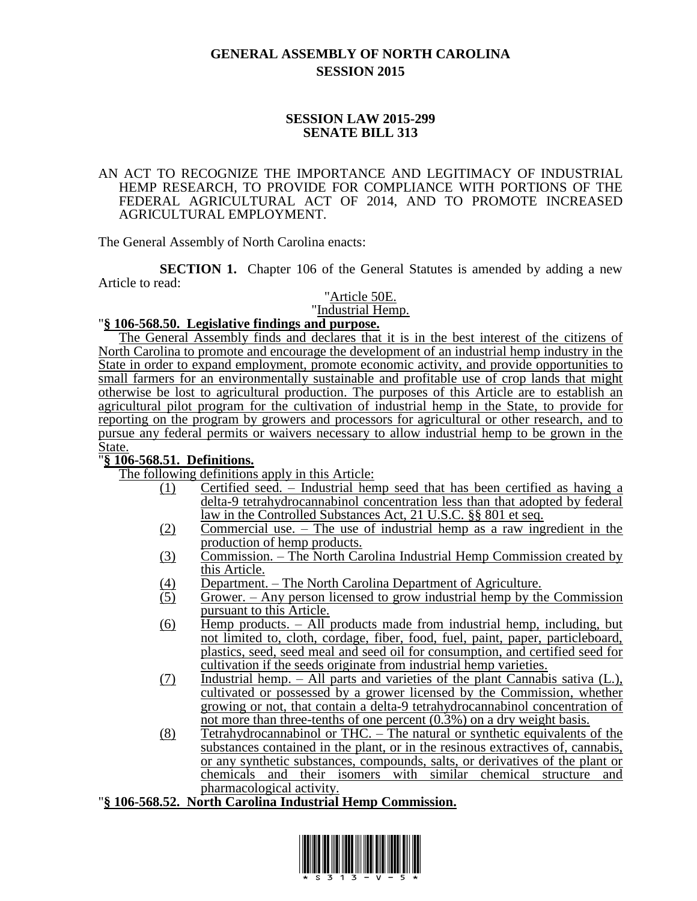# **GENERAL ASSEMBLY OF NORTH CAROLINA SESSION 2015**

#### **SESSION LAW 2015-299 SENATE BILL 313**

#### AN ACT TO RECOGNIZE THE IMPORTANCE AND LEGITIMACY OF INDUSTRIAL HEMP RESEARCH, TO PROVIDE FOR COMPLIANCE WITH PORTIONS OF THE FEDERAL AGRICULTURAL ACT OF 2014, AND TO PROMOTE INCREASED AGRICULTURAL EMPLOYMENT.

The General Assembly of North Carolina enacts:

**SECTION 1.** Chapter 106 of the General Statutes is amended by adding a new Article to read:

### "Article 50E.

"Industrial Hemp.

### "**§ 106-568.50. Legislative findings and purpose.**

The General Assembly finds and declares that it is in the best interest of the citizens of North Carolina to promote and encourage the development of an industrial hemp industry in the State in order to expand employment, promote economic activity, and provide opportunities to small farmers for an environmentally sustainable and profitable use of crop lands that might otherwise be lost to agricultural production. The purposes of this Article are to establish an agricultural pilot program for the cultivation of industrial hemp in the State, to provide for reporting on the program by growers and processors for agricultural or other research, and to pursue any federal permits or waivers necessary to allow industrial hemp to be grown in the State.

# "**§ 106-568.51. Definitions.**

The following definitions apply in this Article:

- (1) Certified seed. Industrial hemp seed that has been certified as having a delta-9 tetrahydrocannabinol concentration less than that adopted by federal law in the Controlled Substances Act, 21 U.S.C. §§ 801 et seq.
- (2) Commercial use. The use of industrial hemp as a raw ingredient in the production of hemp products.
- (3) Commission. The North Carolina Industrial Hemp Commission created by this Article.
- (4) Department. The North Carolina Department of Agriculture.<br>
Grower. Any person licensed to grow industrial hemp by the
- Grower. Any person licensed to grow industrial hemp by the Commission pursuant to this Article.
- (6) Hemp products. All products made from industrial hemp, including, but not limited to, cloth, cordage, fiber, food, fuel, paint, paper, particleboard, plastics, seed, seed meal and seed oil for consumption, and certified seed for cultivation if the seeds originate from industrial hemp varieties.
- (7) Industrial hemp. All parts and varieties of the plant Cannabis sativa (L.), cultivated or possessed by a grower licensed by the Commission, whether growing or not, that contain a delta-9 tetrahydrocannabinol concentration of not more than three-tenths of one percent (0.3%) on a dry weight basis.
- (8) Tetrahydrocannabinol or THC. The natural or synthetic equivalents of the substances contained in the plant, or in the resinous extractives of, cannabis, or any synthetic substances, compounds, salts, or derivatives of the plant or chemicals and their isomers with similar chemical structure and pharmacological activity.

### "**§ 106-568.52. North Carolina Industrial Hemp Commission.**

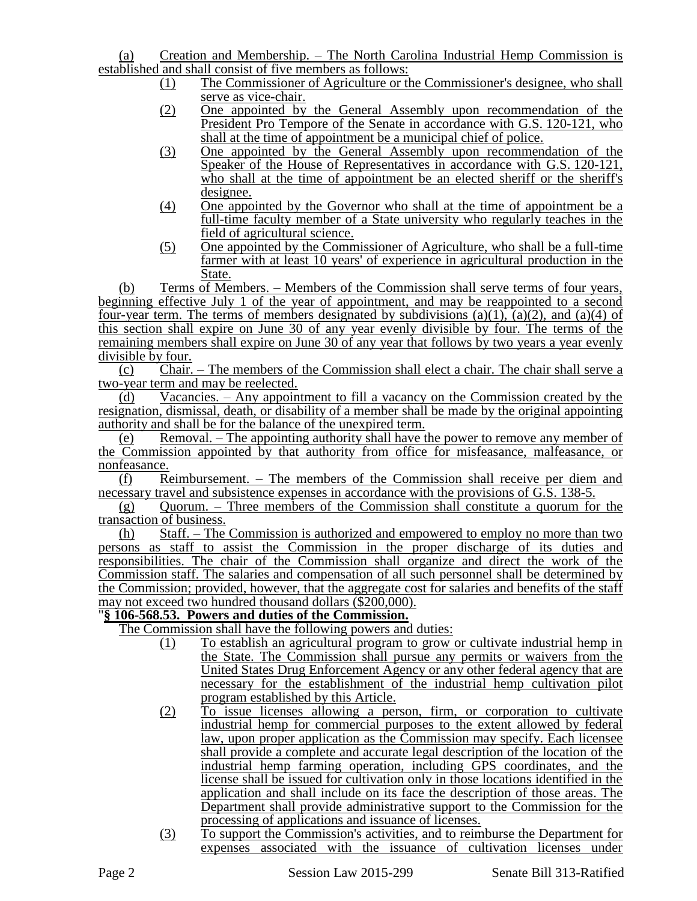(a) Creation and Membership. – The North Carolina Industrial Hemp Commission is established and shall consist of five members as follows:

- (1) The Commissioner of Agriculture or the Commissioner's designee, who shall serve as vice-chair.
- (2) One appointed by the General Assembly upon recommendation of the President Pro Tempore of the Senate in accordance with G.S. 120-121, who shall at the time of appointment be a municipal chief of police.
- (3) One appointed by the General Assembly upon recommendation of the Speaker of the House of Representatives in accordance with G.S. 120-121, who shall at the time of appointment be an elected sheriff or the sheriff's designee.
- (4) One appointed by the Governor who shall at the time of appointment be a full-time faculty member of a State university who regularly teaches in the field of agricultural science.
- (5) One appointed by the Commissioner of Agriculture, who shall be a full-time farmer with at least 10 years' of experience in agricultural production in the State.

(b) Terms of Members. – Members of the Commission shall serve terms of four years, beginning effective July 1 of the year of appointment, and may be reappointed to a second four-year term. The terms of members designated by subdivisions (a)(1), (a)(2), and (a)(4) of this section shall expire on June 30 of any year evenly divisible by four. The terms of the remaining members shall expire on June 30 of any year that follows by two years a year evenly divisible by four.

(c) Chair. – The members of the Commission shall elect a chair. The chair shall serve a two-year term and may be reelected.

(d) Vacancies. – Any appointment to fill a vacancy on the Commission created by the resignation, dismissal, death, or disability of a member shall be made by the original appointing authority and shall be for the balance of the unexpired term.

(e) Removal. – The appointing authority shall have the power to remove any member of the Commission appointed by that authority from office for misfeasance, malfeasance, or nonfeasance.

(f) Reimbursement. – The members of the Commission shall receive per diem and necessary travel and subsistence expenses in accordance with the provisions of G.S. 138-5.

 $(g)$  Quorum. – Three members of the Commission shall constitute a quorum for the transaction of business.

(h) Staff. – The Commission is authorized and empowered to employ no more than two persons as staff to assist the Commission in the proper discharge of its duties and responsibilities. The chair of the Commission shall organize and direct the work of the Commission staff. The salaries and compensation of all such personnel shall be determined by the Commission; provided, however, that the aggregate cost for salaries and benefits of the staff may not exceed two hundred thousand dollars (\$200,000).

### "**§ 106-568.53. Powers and duties of the Commission.**

The Commission shall have the following powers and duties:

- (1) To establish an agricultural program to grow or cultivate industrial hemp in the State. The Commission shall pursue any permits or waivers from the United States Drug Enforcement Agency or any other federal agency that are necessary for the establishment of the industrial hemp cultivation pilot program established by this Article.
- (2) To issue licenses allowing a person, firm, or corporation to cultivate industrial hemp for commercial purposes to the extent allowed by federal law, upon proper application as the Commission may specify. Each licensee shall provide a complete and accurate legal description of the location of the industrial hemp farming operation, including GPS coordinates, and the license shall be issued for cultivation only in those locations identified in the application and shall include on its face the description of those areas. The Department shall provide administrative support to the Commission for the processing of applications and issuance of licenses.
- (3) To support the Commission's activities, and to reimburse the Department for expenses associated with the issuance of cultivation licenses under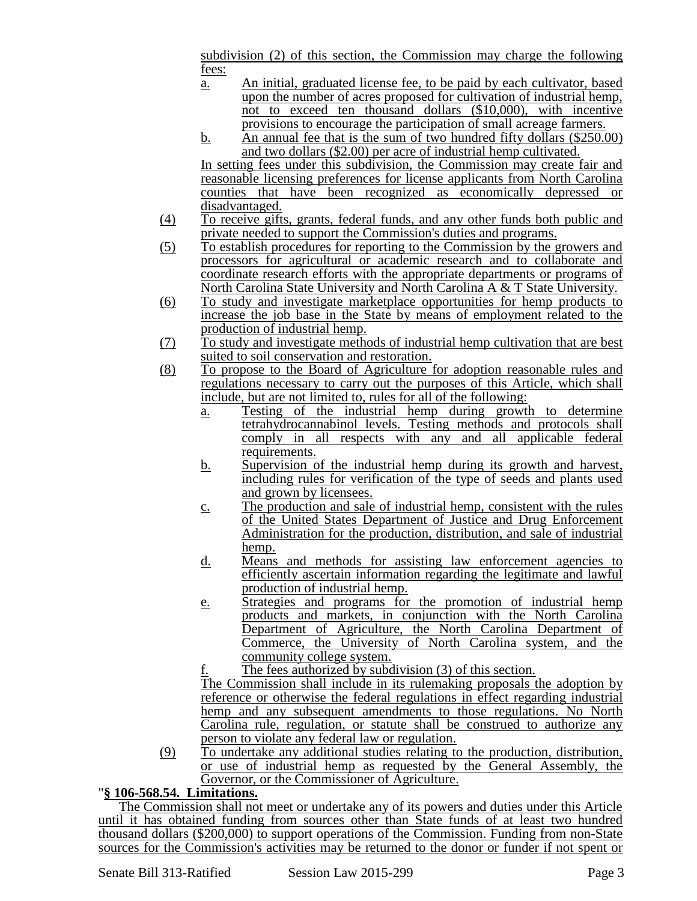subdivision (2) of this section, the Commission may charge the following fees:

- a. An initial, graduated license fee, to be paid by each cultivator, based upon the number of acres proposed for cultivation of industrial hemp, not to exceed ten thousand dollars (\$10,000), with incentive provisions to encourage the participation of small acreage farmers.
- b. An annual fee that is the sum of two hundred fifty dollars (\$250.00) and two dollars (\$2.00) per acre of industrial hemp cultivated.

In setting fees under this subdivision, the Commission may create fair and reasonable licensing preferences for license applicants from North Carolina counties that have been recognized as economically depressed or disadvantaged.

- (4) To receive gifts, grants, federal funds, and any other funds both public and private needed to support the Commission's duties and programs.
- (5) To establish procedures for reporting to the Commission by the growers and processors for agricultural or academic research and to collaborate and coordinate research efforts with the appropriate departments or programs of North Carolina State University and North Carolina A & T State University.
- (6) To study and investigate marketplace opportunities for hemp products to increase the job base in the State by means of employment related to the production of industrial hemp.
- (7) To study and investigate methods of industrial hemp cultivation that are best suited to soil conservation and restoration.
- (8) To propose to the Board of Agriculture for adoption reasonable rules and regulations necessary to carry out the purposes of this Article, which shall include, but are not limited to, rules for all of the following:
	- a. Testing of the industrial hemp during growth to determine tetrahydrocannabinol levels. Testing methods and protocols shall comply in all respects with any and all applicable federal requirements.
	- b. Supervision of the industrial hemp during its growth and harvest, including rules for verification of the type of seeds and plants used and grown by licensees.
	- c. The production and sale of industrial hemp, consistent with the rules of the United States Department of Justice and Drug Enforcement Administration for the production, distribution, and sale of industrial hemp.
	- d. Means and methods for assisting law enforcement agencies to efficiently ascertain information regarding the legitimate and lawful production of industrial hemp.
	- e. Strategies and programs for the promotion of industrial hemp products and markets, in conjunction with the North Carolina Department of Agriculture, the North Carolina Department of Commerce, the University of North Carolina system, and the community college system.
	- The fees authorized by subdivision (3) of this section.

The Commission shall include in its rulemaking proposals the adoption by reference or otherwise the federal regulations in effect regarding industrial hemp and any subsequent amendments to those regulations. No North Carolina rule, regulation, or statute shall be construed to authorize any person to violate any federal law or regulation.

(9) To undertake any additional studies relating to the production, distribution, or use of industrial hemp as requested by the General Assembly, the Governor, or the Commissioner of Agriculture.

# "**§ 106-568.54. Limitations.**

The Commission shall not meet or undertake any of its powers and duties under this Article until it has obtained funding from sources other than State funds of at least two hundred thousand dollars (\$200,000) to support operations of the Commission. Funding from non-State sources for the Commission's activities may be returned to the donor or funder if not spent or